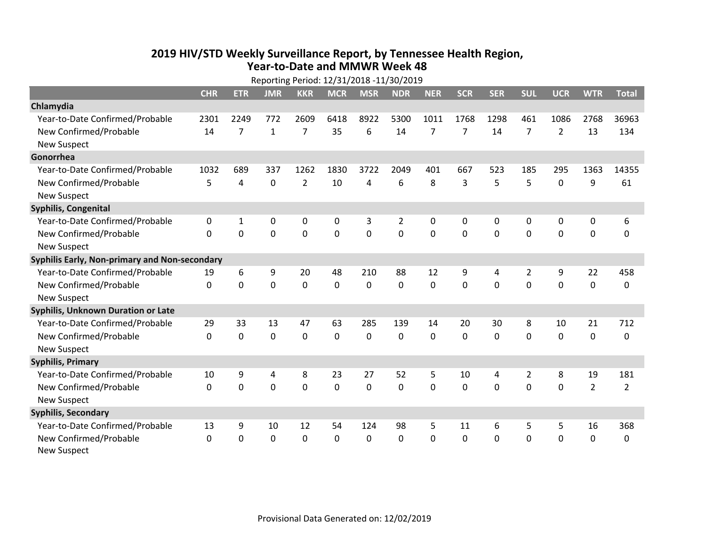## **2019 HIV /STD Weekly Surveillance Report, by Tennessee Health Region, Year‐to‐Date and MMWR Week 48** Reporting Period: 12/31/2018 ‐11/30/2019

|                                               | Reporting Period: 12/31/2018 -11/30/2019 |             |              |                |            |             |                |                |            |             |                |                |                |                |
|-----------------------------------------------|------------------------------------------|-------------|--------------|----------------|------------|-------------|----------------|----------------|------------|-------------|----------------|----------------|----------------|----------------|
|                                               | <b>CHR</b>                               | <b>ETR</b>  | <b>JMR</b>   | <b>KKR</b>     | <b>MCR</b> | <b>MSR</b>  | <b>NDR</b>     | <b>NER</b>     | <b>SCR</b> | <b>SER</b>  | <b>SUL</b>     | <b>UCR</b>     | <b>WTR</b>     | <b>Total</b>   |
| Chlamydia                                     |                                          |             |              |                |            |             |                |                |            |             |                |                |                |                |
| Year-to-Date Confirmed/Probable               | 2301                                     | 2249        | 772          | 2609           | 6418       | 8922        | 5300           | 1011           | 1768       | 1298        | 461            | 1086           | 2768           | 36963          |
| New Confirmed/Probable                        | 14                                       | 7           | $\mathbf{1}$ | 7              | 35         | 6           | 14             | $\overline{7}$ | 7          | 14          | 7              | $\overline{2}$ | 13             | 134            |
| <b>New Suspect</b>                            |                                          |             |              |                |            |             |                |                |            |             |                |                |                |                |
| Gonorrhea                                     |                                          |             |              |                |            |             |                |                |            |             |                |                |                |                |
| Year-to-Date Confirmed/Probable               | 1032                                     | 689         | 337          | 1262           | 1830       | 3722        | 2049           | 401            | 667        | 523         | 185            | 295            | 1363           | 14355          |
| New Confirmed/Probable                        | 5                                        | 4           | $\mathbf 0$  | $\overline{2}$ | 10         | 4           | 6              | 8              | 3          | 5           | 5              | $\mathbf 0$    | 9              | 61             |
| <b>New Suspect</b>                            |                                          |             |              |                |            |             |                |                |            |             |                |                |                |                |
| Syphilis, Congenital                          |                                          |             |              |                |            |             |                |                |            |             |                |                |                |                |
| Year-to-Date Confirmed/Probable               | 0                                        | 1           | 0            | 0              | 0          | 3           | $\overline{2}$ | 0              | 0          | 0           | 0              | 0              | $\pmb{0}$      | 6              |
| New Confirmed/Probable                        | $\mathbf{0}$                             | $\mathbf 0$ | $\mathbf 0$  | 0              | 0          | $\mathbf 0$ | 0              | 0              | 0          | 0           | 0              | 0              | $\mathbf 0$    | $\Omega$       |
| <b>New Suspect</b>                            |                                          |             |              |                |            |             |                |                |            |             |                |                |                |                |
| Syphilis Early, Non-primary and Non-secondary |                                          |             |              |                |            |             |                |                |            |             |                |                |                |                |
| Year-to-Date Confirmed/Probable               | 19                                       | 6           | 9            | 20             | 48         | 210         | 88             | 12             | 9          | 4           | $\overline{2}$ | 9              | 22             | 458            |
| New Confirmed/Probable                        | $\Omega$                                 | $\mathbf 0$ | 0            | 0              | $\Omega$   | 0           | $\Omega$       | $\Omega$       | $\Omega$   | $\Omega$    | 0              | 0              | $\mathbf 0$    | 0              |
| <b>New Suspect</b>                            |                                          |             |              |                |            |             |                |                |            |             |                |                |                |                |
| <b>Syphilis, Unknown Duration or Late</b>     |                                          |             |              |                |            |             |                |                |            |             |                |                |                |                |
| Year-to-Date Confirmed/Probable               | 29                                       | 33          | 13           | 47             | 63         | 285         | 139            | 14             | 20         | 30          | 8              | 10             | 21             | 712            |
| New Confirmed/Probable                        | $\Omega$                                 | $\mathbf 0$ | $\mathbf 0$  | 0              | $\Omega$   | 0           | $\Omega$       | $\Omega$       | $\Omega$   | $\Omega$    | 0              | 0              | $\mathbf 0$    | 0              |
| <b>New Suspect</b>                            |                                          |             |              |                |            |             |                |                |            |             |                |                |                |                |
| <b>Syphilis, Primary</b>                      |                                          |             |              |                |            |             |                |                |            |             |                |                |                |                |
| Year-to-Date Confirmed/Probable               | 10                                       | 9           | 4            | 8              | 23         | 27          | 52             | 5              | 10         | 4           | $\overline{2}$ | 8              | 19             | 181            |
| New Confirmed/Probable                        | $\Omega$                                 | $\mathbf 0$ | $\mathbf 0$  | 0              | 0          | 0           | $\Omega$       | $\Omega$       | $\Omega$   | $\mathbf 0$ | 0              | 0              | $\overline{2}$ | $\overline{2}$ |
| <b>New Suspect</b>                            |                                          |             |              |                |            |             |                |                |            |             |                |                |                |                |
| <b>Syphilis, Secondary</b>                    |                                          |             |              |                |            |             |                |                |            |             |                |                |                |                |
| Year-to-Date Confirmed/Probable               | 13                                       | 9           | 10           | 12             | 54         | 124         | 98             | 5              | 11         | 6           | 5              | 5              | 16             | 368            |
| New Confirmed/Probable                        | $\Omega$                                 | $\mathbf 0$ | $\mathbf 0$  | 0              | 0          | 0           | $\Omega$       | $\Omega$       | 0          | 0           | $\mathbf 0$    | 0              | $\mathbf 0$    | 0              |
| <b>New Suspect</b>                            |                                          |             |              |                |            |             |                |                |            |             |                |                |                |                |